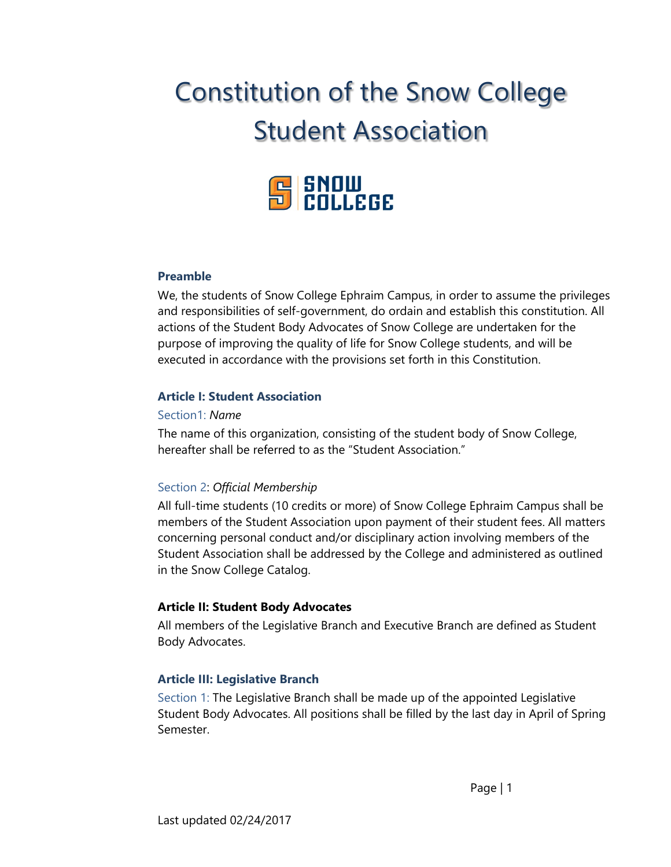# Constitution of the Snow College Student Association



#### **Preamble**

We, the students of Snow College Ephraim Campus, in order to assume the privileges and responsibilities of self-government, do ordain and establish this constitution. All actions of the Student Body Advocates of Snow College are undertaken for the purpose of improving the quality of life for Snow College students, and will be executed in accordance with the provisions set forth in this Constitution.

#### **Article I: Student Association**

#### Section1: *Name*

The name of this organization, consisting of the student body of Snow College, hereafter shall be referred to as the "Student Association."

#### Section 2: *Official Membership*

All full-time students (10 credits or more) of Snow College Ephraim Campus shall be members of the Student Association upon payment of their student fees. All matters concerning personal conduct and/or disciplinary action involving members of the Student Association shall be addressed by the College and administered as outlined in the Snow College Catalog.

#### **Article II: Student Body Advocates**

All members of the Legislative Branch and Executive Branch are defined as Student Body Advocates.

#### **Article III: Legislative Branch**

Section 1: The Legislative Branch shall be made up of the appointed Legislative Student Body Advocates. All positions shall be filled by the last day in April of Spring Semester.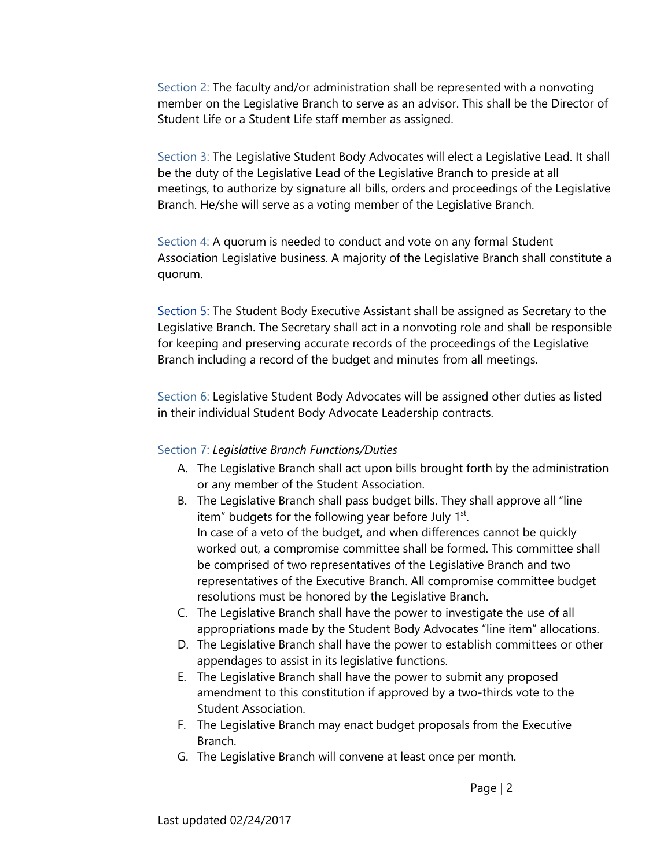Section 2: The faculty and/or administration shall be represented with a nonvoting member on the Legislative Branch to serve as an advisor. This shall be the Director of Student Life or a Student Life staff member as assigned.

Section 3: The Legislative Student Body Advocates will elect a Legislative Lead. It shall be the duty of the Legislative Lead of the Legislative Branch to preside at all meetings, to authorize by signature all bills, orders and proceedings of the Legislative Branch. He/she will serve as a voting member of the Legislative Branch.

Section 4: A quorum is needed to conduct and vote on any formal Student Association Legislative business. A majority of the Legislative Branch shall constitute a quorum.

Section 5: The Student Body Executive Assistant shall be assigned as Secretary to the Legislative Branch. The Secretary shall act in a nonvoting role and shall be responsible for keeping and preserving accurate records of the proceedings of the Legislative Branch including a record of the budget and minutes from all meetings.

Section 6: Legislative Student Body Advocates will be assigned other duties as listed in their individual Student Body Advocate Leadership contracts.

#### Section 7: *Legislative Branch Functions/Duties*

- A. The Legislative Branch shall act upon bills brought forth by the administration or any member of the Student Association.
- B. The Legislative Branch shall pass budget bills. They shall approve all "line item" budgets for the following year before July  $1<sup>st</sup>$ . In case of a veto of the budget, and when differences cannot be quickly worked out, a compromise committee shall be formed. This committee shall be comprised of two representatives of the Legislative Branch and two representatives of the Executive Branch. All compromise committee budget resolutions must be honored by the Legislative Branch.
- C. The Legislative Branch shall have the power to investigate the use of all appropriations made by the Student Body Advocates "line item" allocations.
- D. The Legislative Branch shall have the power to establish committees or other appendages to assist in its legislative functions.
- E. The Legislative Branch shall have the power to submit any proposed amendment to this constitution if approved by a two-thirds vote to the Student Association.
- F. The Legislative Branch may enact budget proposals from the Executive Branch.
- G. The Legislative Branch will convene at least once per month.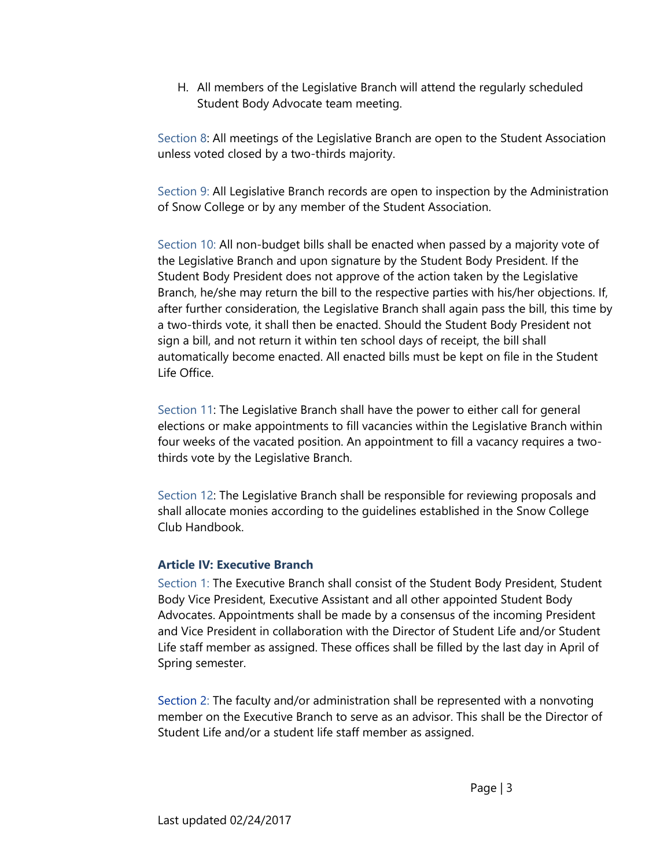H. All members of the Legislative Branch will attend the regularly scheduled Student Body Advocate team meeting.

Section 8: All meetings of the Legislative Branch are open to the Student Association unless voted closed by a two-thirds majority.

Section 9: All Legislative Branch records are open to inspection by the Administration of Snow College or by any member of the Student Association.

Section 10: All non-budget bills shall be enacted when passed by a majority vote of the Legislative Branch and upon signature by the Student Body President. If the Student Body President does not approve of the action taken by the Legislative Branch, he/she may return the bill to the respective parties with his/her objections. If, after further consideration, the Legislative Branch shall again pass the bill, this time by a two-thirds vote, it shall then be enacted. Should the Student Body President not sign a bill, and not return it within ten school days of receipt, the bill shall automatically become enacted. All enacted bills must be kept on file in the Student Life Office.

Section 11: The Legislative Branch shall have the power to either call for general elections or make appointments to fill vacancies within the Legislative Branch within four weeks of the vacated position. An appointment to fill a vacancy requires a twothirds vote by the Legislative Branch.

Section 12: The Legislative Branch shall be responsible for reviewing proposals and shall allocate monies according to the guidelines established in the Snow College Club Handbook.

# **Article IV: Executive Branch**

Section 1: The Executive Branch shall consist of the Student Body President, Student Body Vice President, Executive Assistant and all other appointed Student Body Advocates. Appointments shall be made by a consensus of the incoming President and Vice President in collaboration with the Director of Student Life and/or Student Life staff member as assigned. These offices shall be filled by the last day in April of Spring semester.

Section 2: The faculty and/or administration shall be represented with a nonvoting member on the Executive Branch to serve as an advisor. This shall be the Director of Student Life and/or a student life staff member as assigned.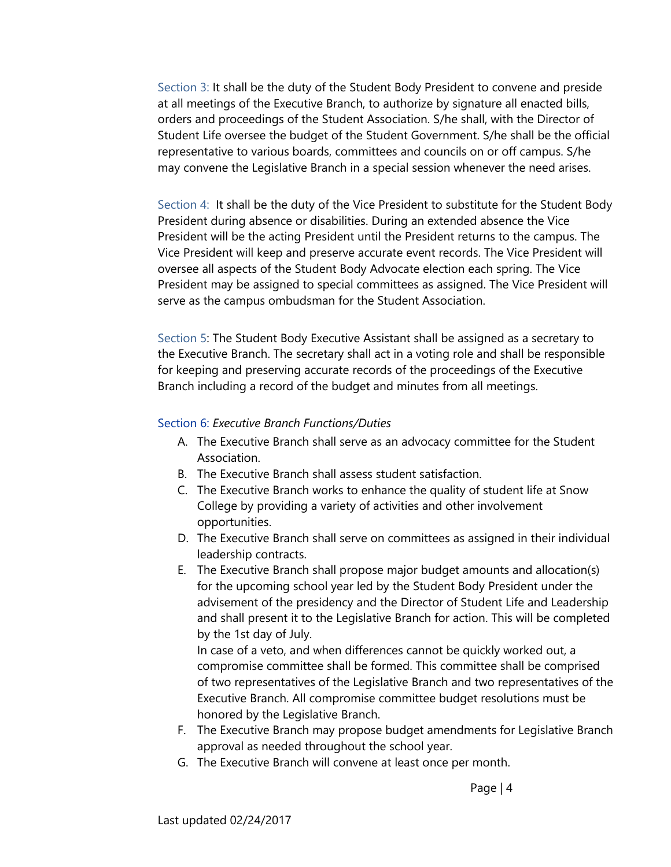Section 3: It shall be the duty of the Student Body President to convene and preside at all meetings of the Executive Branch, to authorize by signature all enacted bills, orders and proceedings of the Student Association. S/he shall, with the Director of Student Life oversee the budget of the Student Government. S/he shall be the official representative to various boards, committees and councils on or off campus. S/he may convene the Legislative Branch in a special session whenever the need arises.

Section 4: It shall be the duty of the Vice President to substitute for the Student Body President during absence or disabilities. During an extended absence the Vice President will be the acting President until the President returns to the campus. The Vice President will keep and preserve accurate event records. The Vice President will oversee all aspects of the Student Body Advocate election each spring. The Vice President may be assigned to special committees as assigned. The Vice President will serve as the campus ombudsman for the Student Association.

Section 5: The Student Body Executive Assistant shall be assigned as a secretary to the Executive Branch. The secretary shall act in a voting role and shall be responsible for keeping and preserving accurate records of the proceedings of the Executive Branch including a record of the budget and minutes from all meetings.

#### Section 6: *Executive Branch Functions/Duties*

- A. The Executive Branch shall serve as an advocacy committee for the Student Association.
- B. The Executive Branch shall assess student satisfaction.
- C. The Executive Branch works to enhance the quality of student life at Snow College by providing a variety of activities and other involvement opportunities.
- D. The Executive Branch shall serve on committees as assigned in their individual leadership contracts.
- E. The Executive Branch shall propose major budget amounts and allocation(s) for the upcoming school year led by the Student Body President under the advisement of the presidency and the Director of Student Life and Leadership and shall present it to the Legislative Branch for action. This will be completed by the 1st day of July.

In case of a veto, and when differences cannot be quickly worked out, a compromise committee shall be formed. This committee shall be comprised of two representatives of the Legislative Branch and two representatives of the Executive Branch. All compromise committee budget resolutions must be honored by the Legislative Branch.

- F. The Executive Branch may propose budget amendments for Legislative Branch approval as needed throughout the school year.
- G. The Executive Branch will convene at least once per month.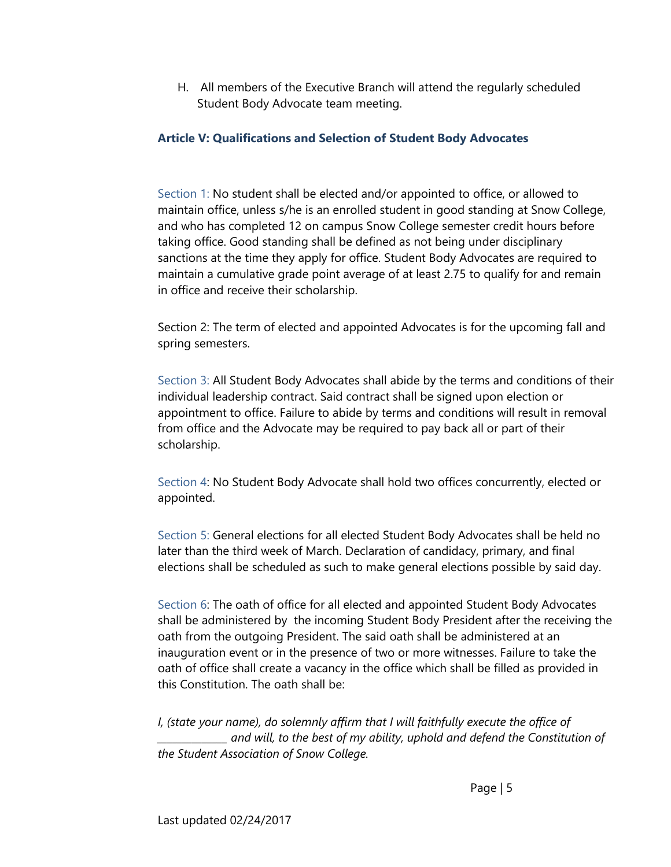H. All members of the Executive Branch will attend the regularly scheduled Student Body Advocate team meeting.

# **Article V: Qualifications and Selection of Student Body Advocates**

Section 1: No student shall be elected and/or appointed to office, or allowed to maintain office, unless s/he is an enrolled student in good standing at Snow College, and who has completed 12 on campus Snow College semester credit hours before taking office. Good standing shall be defined as not being under disciplinary sanctions at the time they apply for office. Student Body Advocates are required to maintain a cumulative grade point average of at least 2.75 to qualify for and remain in office and receive their scholarship.

Section 2: The term of elected and appointed Advocates is for the upcoming fall and spring semesters.

Section 3: All Student Body Advocates shall abide by the terms and conditions of their individual leadership contract. Said contract shall be signed upon election or appointment to office. Failure to abide by terms and conditions will result in removal from office and the Advocate may be required to pay back all or part of their scholarship.

Section 4: No Student Body Advocate shall hold two offices concurrently, elected or appointed.

Section 5: General elections for all elected Student Body Advocates shall be held no later than the third week of March. Declaration of candidacy, primary, and final elections shall be scheduled as such to make general elections possible by said day.

Section 6: The oath of office for all elected and appointed Student Body Advocates shall be administered by the incoming Student Body President after the receiving the oath from the outgoing President. The said oath shall be administered at an inauguration event or in the presence of two or more witnesses. Failure to take the oath of office shall create a vacancy in the office which shall be filled as provided in this Constitution. The oath shall be:

*I, (state your name), do solemnly affirm that I will faithfully execute the office of \_\_\_\_\_\_\_\_\_\_\_\_\_\_ and will, to the best of my ability, uphold and defend the Constitution of the Student Association of Snow College.*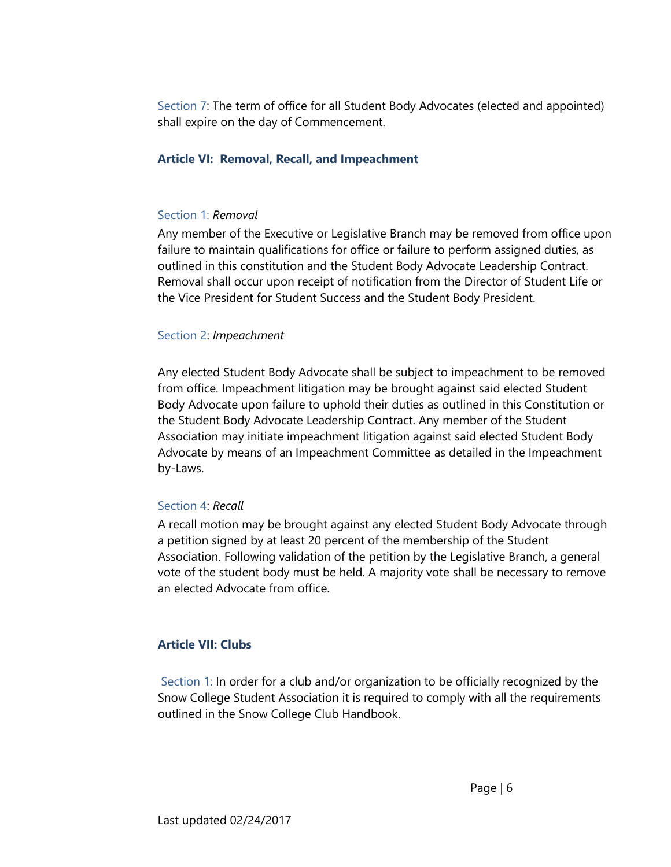Section 7: The term of office for all Student Body Advocates (elected and appointed) shall expire on the day of Commencement.

### **Article VI: Removal, Recall, and Impeachment**

#### Section 1: *Removal*

Any member of the Executive or Legislative Branch may be removed from office upon failure to maintain qualifications for office or failure to perform assigned duties, as outlined in this constitution and the Student Body Advocate Leadership Contract. Removal shall occur upon receipt of notification from the Director of Student Life or the Vice President for Student Success and the Student Body President.

#### Section 2: *Impeachment*

Any elected Student Body Advocate shall be subject to impeachment to be removed from office. Impeachment litigation may be brought against said elected Student Body Advocate upon failure to uphold their duties as outlined in this Constitution or the Student Body Advocate Leadership Contract. Any member of the Student Association may initiate impeachment litigation against said elected Student Body Advocate by means of an Impeachment Committee as detailed in the Impeachment by-Laws.

#### Section 4: *Recall*

A recall motion may be brought against any elected Student Body Advocate through a petition signed by at least 20 percent of the membership of the Student Association. Following validation of the petition by the Legislative Branch, a general vote of the student body must be held. A majority vote shall be necessary to remove an elected Advocate from office.

# **Article VII: Clubs**

Section 1: In order for a club and/or organization to be officially recognized by the Snow College Student Association it is required to comply with all the requirements outlined in the Snow College Club Handbook.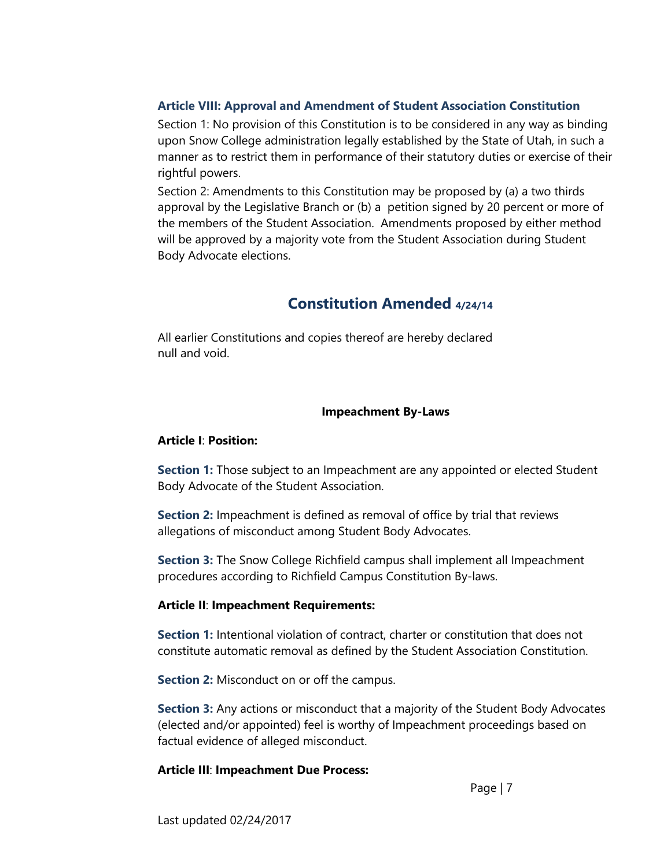## **Article VIII: Approval and Amendment of Student Association Constitution**

Section 1: No provision of this Constitution is to be considered in any way as binding upon Snow College administration legally established by the State of Utah, in such a manner as to restrict them in performance of their statutory duties or exercise of their rightful powers.

Section 2: Amendments to this Constitution may be proposed by (a) a two thirds approval by the Legislative Branch or (b) a petition signed by 20 percent or more of the members of the Student Association. Amendments proposed by either method will be approved by a majority vote from the Student Association during Student Body Advocate elections.

# **Constitution Amended 4/24/14**

All earlier Constitutions and copies thereof are hereby declared null and void.

## **Impeachment By-Laws**

### **Article I**: **Position:**

**Section 1:** Those subject to an Impeachment are any appointed or elected Student Body Advocate of the Student Association.

**Section 2:** Impeachment is defined as removal of office by trial that reviews allegations of misconduct among Student Body Advocates.

**Section 3:** The Snow College Richfield campus shall implement all Impeachment procedures according to Richfield Campus Constitution By-laws.

#### **Article II**: **Impeachment Requirements:**

**Section 1:** Intentional violation of contract, charter or constitution that does not constitute automatic removal as defined by the Student Association Constitution.

**Section 2:** Misconduct on or off the campus.

**Section 3:** Any actions or misconduct that a majority of the Student Body Advocates (elected and/or appointed) feel is worthy of Impeachment proceedings based on factual evidence of alleged misconduct.

# **Article III**: **Impeachment Due Process:**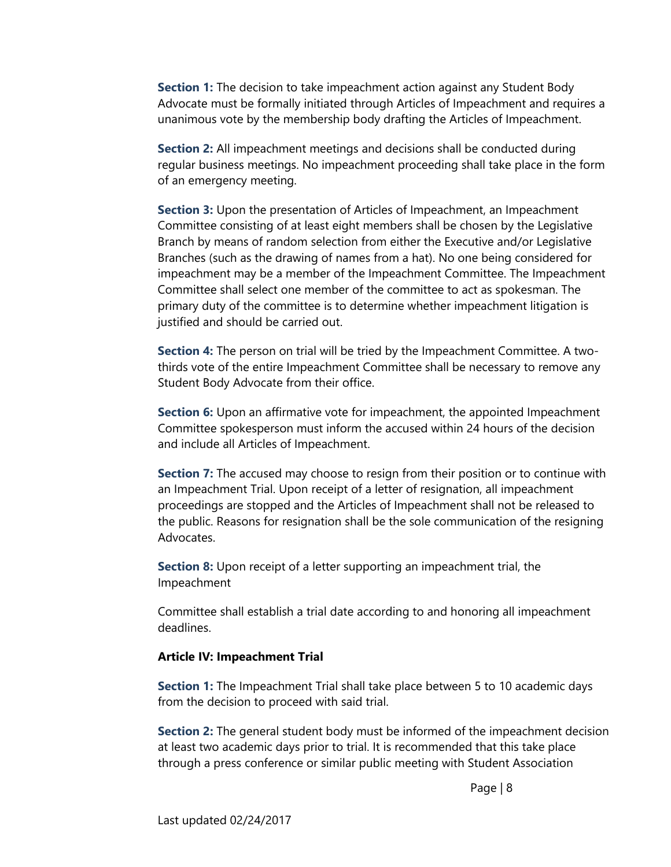**Section 1:** The decision to take impeachment action against any Student Body Advocate must be formally initiated through Articles of Impeachment and requires a unanimous vote by the membership body drafting the Articles of Impeachment.

**Section 2:** All impeachment meetings and decisions shall be conducted during regular business meetings. No impeachment proceeding shall take place in the form of an emergency meeting.

**Section 3:** Upon the presentation of Articles of Impeachment, an Impeachment Committee consisting of at least eight members shall be chosen by the Legislative Branch by means of random selection from either the Executive and/or Legislative Branches (such as the drawing of names from a hat). No one being considered for impeachment may be a member of the Impeachment Committee. The Impeachment Committee shall select one member of the committee to act as spokesman. The primary duty of the committee is to determine whether impeachment litigation is justified and should be carried out.

**Section 4:** The person on trial will be tried by the Impeachment Committee. A twothirds vote of the entire Impeachment Committee shall be necessary to remove any Student Body Advocate from their office.

**Section 6:** Upon an affirmative vote for impeachment, the appointed Impeachment Committee spokesperson must inform the accused within 24 hours of the decision and include all Articles of Impeachment.

**Section 7:** The accused may choose to resign from their position or to continue with an Impeachment Trial. Upon receipt of a letter of resignation, all impeachment proceedings are stopped and the Articles of Impeachment shall not be released to the public. Reasons for resignation shall be the sole communication of the resigning Advocates.

**Section 8:** Upon receipt of a letter supporting an impeachment trial, the Impeachment

Committee shall establish a trial date according to and honoring all impeachment deadlines.

#### **Article IV: Impeachment Trial**

**Section 1:** The Impeachment Trial shall take place between 5 to 10 academic days from the decision to proceed with said trial.

**Section 2:** The general student body must be informed of the impeachment decision at least two academic days prior to trial. It is recommended that this take place through a press conference or similar public meeting with Student Association